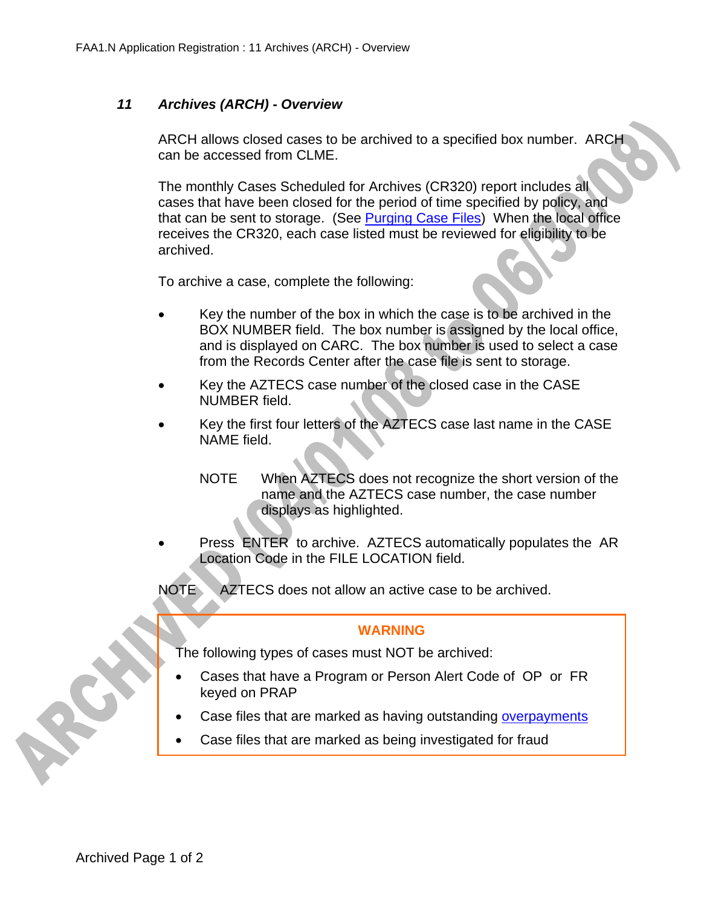## *11 Archives (ARCH) - Overview*

ARCH allows closed cases to be archived to a specified box number. ARCH can be accessed from CLME.

The monthly Cases Scheduled for Archives (CR320) report includes all cases that have been closed for the period of time specified by policy, and that can be sent to storage. (See Purging Case Files) When the local office receives the CR320, each case listed must be reviewed for eligibility to be archived.

To archive a case, complete the following:

- Key the number of the box in which the case is to be archived in the BOX NUMBER field. The box number is assigned by the local office, and is displayed on CARC. The box number is used to select a case from the Records Center after the case file is sent to storage.
- Key the AZTECS case number of the closed case in the CASE NUMBER field.
- Key the first four letters of the AZTECS case last name in the CASE NAME field.
	- NOTE When AZTECS does not recognize the short version of the name and the AZTECS case number, the case number displays as highlighted.
- Press ENTER to archive. AZTECS automatically populates the AR Location Code in the FILE LOCATION field.
- NOTE AZTECS does not allow an active case to be archived.

## **WARNING**

The following types of cases must NOT be archived:

- Cases that have a Program or Person Alert Code of OP or FR keyed on PRAP
- Case files that are marked as having outstanding overpayments
- Case files that are marked as being investigated for fraud